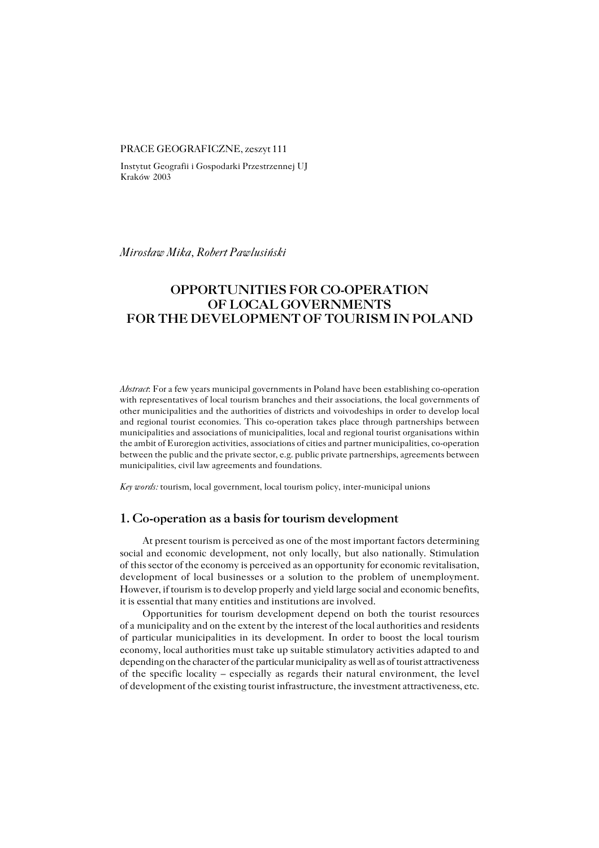#### PRACE GEOGRAFICZNE, zeszyt 111

Instytut Geografii i Gospodarki Przestrzennej UJ Kraków 2003

*Mirosław Mika, Robert Pawlusiński*

# **OPPORTUNITIES FOR CO−OPERATION OF LOCAL GOVERNMENTS FOR THE DEVELOPMENT OF TOURISM IN POLAND**

*Abstract*: For a few years municipal governments in Poland have been establishing co−operation with representatives of local tourism branches and their associations, the local governments of other municipalities and the authorities of districts and voivodeships in order to develop local and regional tourist economies. This co−operation takes place through partnerships between municipalities and associations of municipalities, local and regional tourist organisations within the ambit of Euroregion activities, associations of cities and partner municipalities, co−operation between the public and the private sector, e.g. public private partnerships, agreements between municipalities, civil law agreements and foundations.

*Key words:* tourism, local government, local tourism policy, inter−municipal unions

### **1. Co−operation as a basis for tourism development**

At present tourism is perceived as one of the most important factors determining social and economic development, not only locally, but also nationally. Stimulation ofthis sector of the economy is perceived as an opportunity for economic revitalisation, development of local businesses or a solution to the problem of unemployment. However, if tourism is to develop properly and yield large social and economic benefits, it is essential that many entities and institutions are involved.

Opportunities for tourism development depend on both the tourist resources of amunicipality and on the extent by the interest of the local authorities and residents of particular municipalities in its development. In order to boost the local tourism economy, local authorities must take up suitable stimulatory activities adapted to and depending on the character of the particular municipality as well as of tourist attractiveness of the specific locality – especially as regards their natural environment, the level of development of the existing tourist infrastructure, the investment attractiveness, etc.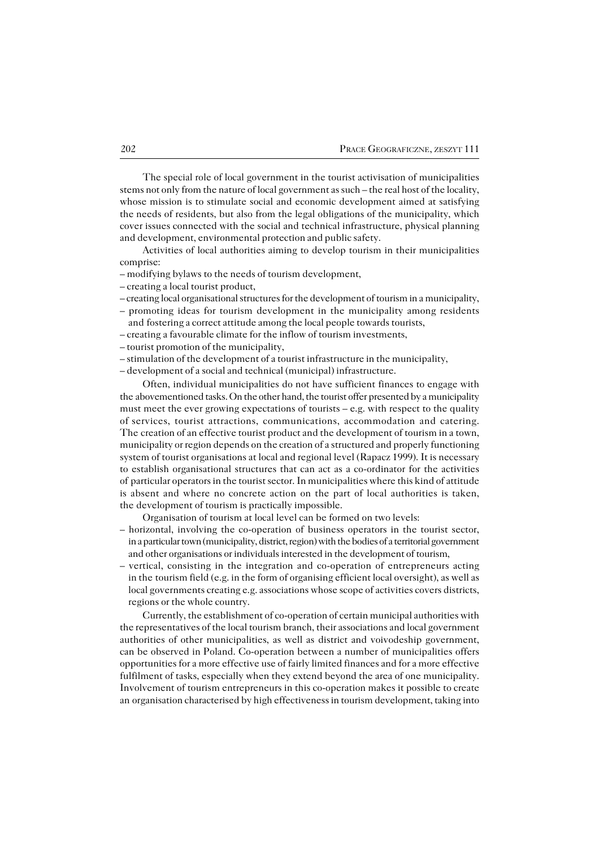The special role of local government in the tourist activisation of municipalities stems not only from the nature of local government as such – the real host of the locality, whose mission is to stimulate social and economic development aimed at satisfying the needs of residents, but also from the legal obligations of the municipality, which cover issues connected with the social and technical infrastructure, physical planning and development, environmental protection and public safety.

Activities of local authorities aiming to develop tourism in their municipalities comprise:

– modifying bylaws to the needs of tourism development,

- creating a local tourist product,
- creating local organisational structures for the development of tourism in a municipality,
- promoting ideas for tourism development in the municipality among residents and fostering a correct attitude among the local people towards tourists,
- creating a favourable climate for the inflow of tourism investments,
- tourist promotion of the municipality,
- stimulation of the development of a tourist infrastructure in the municipality,

– development of a social and technical (municipal) infrastructure.

Often, individual municipalities do not have sufficient finances to engage with the abovementioned tasks. On the other hand, the tourist offer presented by a municipality must meet the ever growing expectations of tourists – e.g. with respect to the quality ofservices, tourist attractions, communications, accommodation and catering. The creation of an effective tourist product and the development of tourism in a town, municipality or region depends on the creation of a structured and properly functioning system of tourist organisations at local and regional level (Rapacz 1999). It is necessary to establish organisational structures that can act as a co−ordinator for the activities of particular operators in the tourist sector. In municipalities where this kind of attitude is absent and where no concrete action on the part of local authorities is taken, the development of tourism is practically impossible.

Organisation of tourism at local level can be formed on two levels:

- horizontal, involving the co−operation of business operators in the tourist sector, in a particular town (municipality, district, region) with the bodies of a territorial government and other organisations or individuals interested in the development of tourism,
- vertical, consisting in the integration and co−operation of entrepreneurs acting in the tourism field (e.g. in the form of organising efficient local oversight), as well as local governments creating e.g. associations whose scope of activities covers districts, regions or the whole country.

Currently, the establishment of co−operation of certain municipal authorities with the representatives of the local tourism branch, their associations and local government authorities of other municipalities, as well as district and voivodeship government, can be observed in Poland. Co−operation between a number of municipalities offers opportunities for a more effective use of fairly limited finances and for a more effective fulfilment of tasks, especially when they extend beyond the area of one municipality. Involvement of tourism entrepreneurs in this co−operation makes it possible to create an organisation characterised by high effectiveness in tourism development, taking into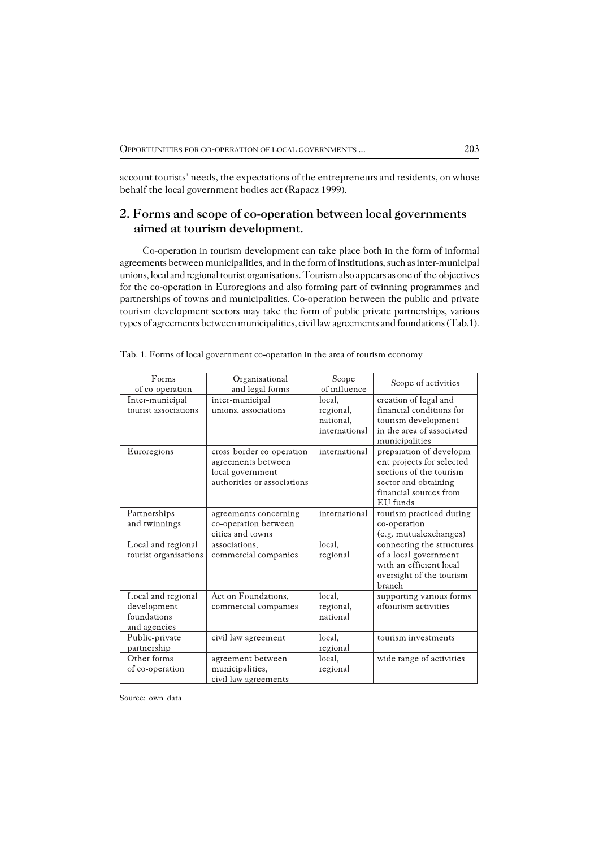account tourists' needs, the expectations of the entrepreneurs and residents, on whose behalf the local government bodies act (Rapacz 1999).

## **2. Forms and scope of co−operation between local governments aimed at tourism development.**

Co−operation in tourism development can take place both in the form of informal agreements between municipalities, and in the form of institutions, such as inter−municipal unions, local and regional tourist organisations. Tourism also appears as one of the objectives for the co−operation in Euroregions and also forming part of twinning programmes and partnerships of towns and municipalities. Co-operation between the public and private tourism development sectors may take the form of public private partnerships, various types of agreements between municipalities, civil law agreements and foundations (Tab.1).

| Forms                 | Organisational              | Scope         | Scope of activities       |  |
|-----------------------|-----------------------------|---------------|---------------------------|--|
| of co-operation       | and legal forms             | of influence  |                           |  |
| Inter-municipal       | inter-municipal             | local.        | creation of legal and     |  |
| tourist associations  | unions, associations        | regional,     | financial conditions for  |  |
|                       |                             | national.     | tourism development       |  |
|                       |                             | international | in the area of associated |  |
|                       |                             |               | municipalities            |  |
| Euroregions           | cross-border co-operation   | international | preparation of developm   |  |
|                       | agreements between          |               | ent projects for selected |  |
|                       | local government            |               | sections of the tourism   |  |
|                       | authorities or associations |               | sector and obtaining      |  |
|                       |                             |               | financial sources from    |  |
|                       |                             |               | EU funds                  |  |
| Partnerships          | agreements concerning       | international | tourism practiced during  |  |
| and twinnings         | co-operation between        |               | co-operation              |  |
|                       | cities and towns            |               | (e.g. mutualexchanges)    |  |
| Local and regional    | associations,               | local,        | connecting the structures |  |
| tourist organisations | commercial companies        | regional      | of a local government     |  |
|                       |                             |               | with an efficient local   |  |
|                       |                             |               | oversight of the tourism  |  |
|                       |                             |               | branch                    |  |
| Local and regional    | Act on Foundations,         | local.        | supporting various forms  |  |
| development           | commercial companies        | regional,     | oftourism activities      |  |
| foundations           |                             | national      |                           |  |
| and agencies          |                             |               |                           |  |
| Public-private        | civil law agreement         | local,        | tourism investments       |  |
| partnership           |                             | regional      |                           |  |
| Other forms           | agreement between           | local,        | wide range of activities  |  |
| of co-operation       | municipalities,             | regional      |                           |  |
|                       | civil law agreements        |               |                           |  |

| Tab. 1. Forms of local government co-operation in the area of tourism economy |  |
|-------------------------------------------------------------------------------|--|
|                                                                               |  |

Source: own data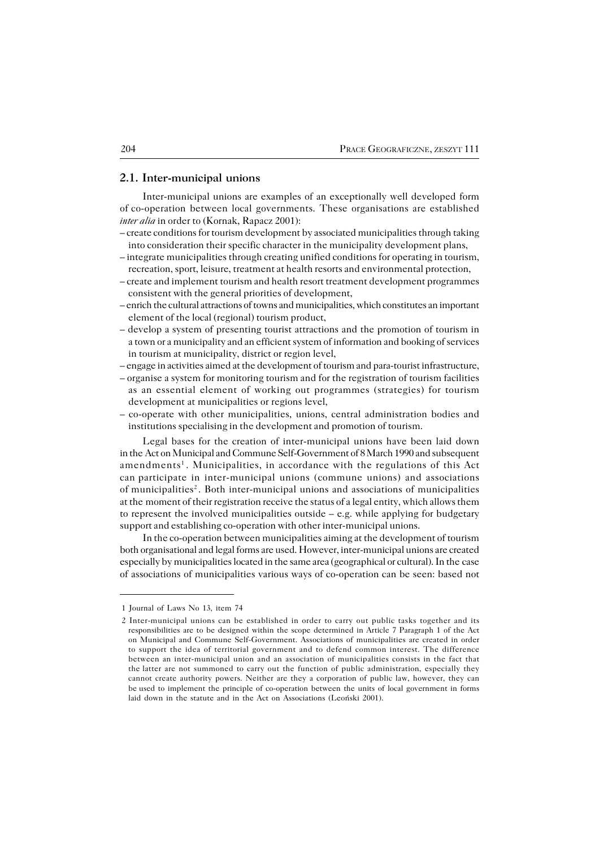#### **2.1. Inter−municipal unions**

Inter−municipal unions are examples of an exceptionally well developed form ofco−operation between local governments. These organisations are established *inter alia* in order to (Kornak, Rapacz 2001):

- create conditions for tourism development by associated municipalities through taking into consideration their specific character in the municipality development plans,
- integrate municipalities through creating unified conditions for operating in tourism, recreation, sport, leisure, treatment at health resorts and environmental protection,
- create and implement tourism and health resort treatment development programmes consistent with the general priorities of development,
- enrich the cultural attractions of towns and municipalities, which constitutes an important element of the local (regional) tourism product,
- develop a system of presenting tourist attractions and the promotion of tourism in a town or a municipality and an efficient system of information and booking of services in tourism at municipality, district or region level,
- engage in activities aimed at the development of tourism and para−tourist infrastructure,
- organise a system for monitoring tourism and for the registration of tourism facilities as an essential element of working out programmes (strategies) for tourism development at municipalities or regions level,
- co−operate with other municipalities, unions, central administration bodies and institutions specialising in the development and promotion of tourism.

Legal bases for the creation of inter−municipal unions have been laid down in theAct on Municipal and Commune Self−Government of 8 March 1990 and subsequent amendments<sup>1</sup>. Municipalities, in accordance with the regulations of this Act canparticipate in inter−municipal unions (commune unions) and associations of municipalities<sup>2</sup>. Both inter-municipal unions and associations of municipalities at the moment of their registration receive the status of a legal entity, which allows them to represent the involved municipalities outside  $-$  e.g. while applying for budgetary support and establishing co−operation with other inter−municipal unions.

In the co−operation between municipalities aiming at the development of tourism both organisational and legal forms are used. However, inter−municipal unions are created especially by municipalities located in the same area (geographical or cultural). In thecase of associations of municipalities various ways of co−operation can be seen: based not

<sup>1</sup> Journal of Laws No 13, item 74

<sup>2</sup> Inter−municipal unions can be established in order to carry out public tasks together and its responsibilities are to be designed within the scope determined in Article 7 Paragraph 1 of the Act on Municipal and Commune Self−Government. Associations of municipalities are created in order to support the idea of territorial government and to defend common interest. The difference between an inter−municipal union and an association of municipalities consists in the fact that thelatter are not summoned to carry out the function of public administration, especially they cannot create authority powers. Neither are they a corporation of public law, however, they can beused to implement the principle of co−operation between the units of local government in forms laid down in the statute and in the Act on Associations (Leoński 2001).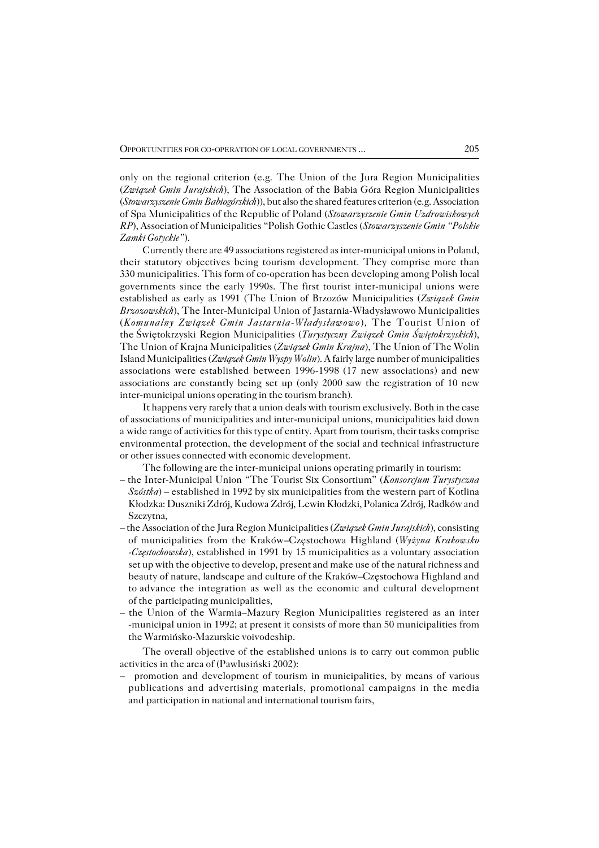only on the regional criterion (e.g. The Union of the Jura Region Municipalities (*Związek Gmin Jurajskich*), The Association of the Babia Góra Region Municipalities (*Stowarzyszenie Gmin Babiogórskich*)), but also the shared features criterion (e.g. Association of Spa Municipalities of the Republic of Poland (*Stowarzyszenie Gmin Uzdrowiskowych RP*), Association of Municipalities "Polish Gothic Castles (*Stowarzyszenie Gmin "Polskie Zamki Gotyckie"*).

Currently there are 49 associations registered as inter−municipal unions in Poland, their statutory objectives being tourism development. They comprise more than 330 municipalities. This form of co−operation has been developing among Polish local governments since the early 1990s. The first tourist inter−municipal unions were established as early as 1991 (The Union of Brzozów Municipalities (*Związek Gmin Brzozowskich*), The Inter−Municipal Union of Jastarnia−Władysławowo Municipalities (*Komunalny Związek Gmin Jastarnia−Władysławowo*), The Tourist Union of theŚwiętokrzyski Region Municipalities (*Turystyczny Związek Gmin Świętokrzyskich*), The Union of Krajna Municipalities (*Związek Gmin Krajna*), The Union of The Wolin Island Municipalities (*Związek Gmin Wyspy Wolin*). A fairly large number of municipalities associations were established between 1996−1998 (17 new associations) and new associations are constantly being set up (only 2000 saw the registration of 10 new inter−municipal unions operating in the tourism branch).

It happens very rarely that a union deals with tourism exclusively. Both in the case of associations of municipalities and inter−municipal unions, municipalities laid down a wide range of activities for this type of entity. Apart from tourism, their tasks comprise environmental protection, the development of the social and technical infrastructure or other issues connected with economic development.

The following are the inter−municipal unions operating primarily in tourism:

- the Inter−Municipal Union "The Tourist Six Consortium" (*Konsorcjum Turystyczna Szóstka*) – established in 1992 by six municipalities from the western part of Kotlina Kłodzka: Duszniki Zdrój, Kudowa Zdrój, Lewin Kłodzki, Polanica Zdrój, Radków and Szczytna,
- the Association of the Jura Region Municipalities (*Związek Gmin Jurajskich*), consisting of municipalities from the Kraków–Częstochowa Highland (*Wyżyna Krakowsko −Częstochowska*), established in 1991 by 15 municipalities as a voluntary association set up with the objective to develop, present and make use of the natural richness and beauty of nature, landscape and culture of the Kraków–Częstochowa Highland and toadvance the integration as well as the economic and cultural development of the participating municipalities,
- the Union of the Warmia–Mazury Region Municipalities registered as an inter −municipal union in 1992; at present it consists of more than 50 municipalities from the Warmińsko−Mazurskie voivodeship.

The overall objective of the established unions is to carry out common public activities in the area of (Pawlusiński 2002):

– promotion and development of tourism in municipalities, by means of various publications and advertising materials, promotional campaigns in the media and participation in national and international tourism fairs,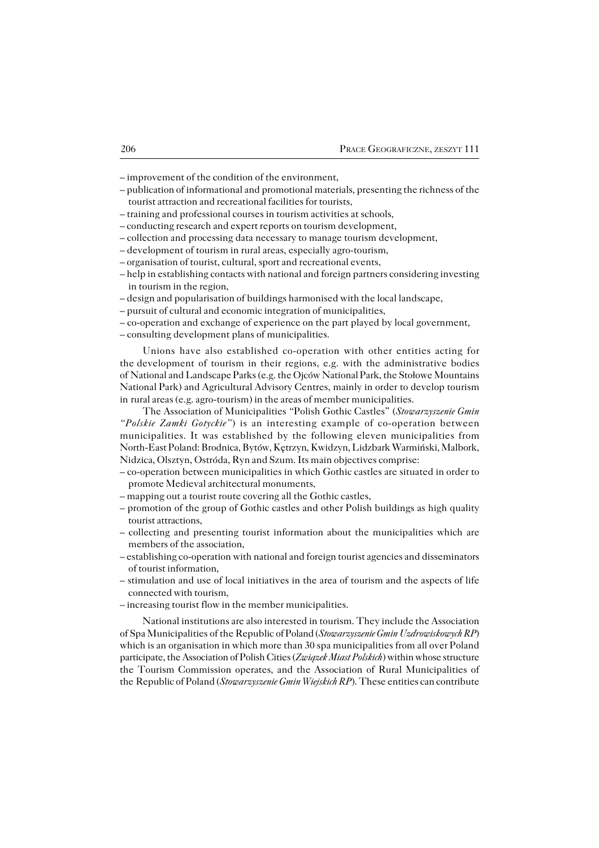– improvement of the condition of the environment,

- publication of informational and promotional materials, presenting the richness of the tourist attraction and recreational facilities for tourists,
- training and professional courses in tourism activities at schools,
- conducting research and expert reports on tourism development,
- collection and processing data necessary to manage tourism development,
- development of tourism in rural areas, especially agro−tourism,
- organisation of tourist, cultural, sport and recreational events,
- help in establishing contacts with national and foreign partners considering investing in tourism in the region,
- design and popularisation of buildings harmonised with the local landscape,
- pursuit of cultural and economic integration of municipalities,
- co−operation and exchange of experience on the part played by local government,

– consulting development plans of municipalities.

Unions have also established co−operation with other entities acting for the development of tourism in their regions, e.g. with the administrative bodies of National and Landscape Parks (e.g. the Ojców National Park, the Stołowe Mountains National Park) and Agricultural Advisory Centres, mainly in order to develop tourism in rural areas (e.g. agro-tourism) in the areas of member municipalities.

The Association of Municipalities "Polish Gothic Castles" (*Stowarzyszenie Gmin "Polskie Zamki Gotyckie"*) is an interesting example of co−operation between municipalities. It was established by the following eleven municipalities from North−East Poland: Brodnica, Bytów, Kętrzyn, Kwidzyn, Lidzbark Warmiński, Malbork, Nidzica, Olsztyn, Ostróda, Ryn and Szum. Its main objectives comprise:

- co−operation between municipalities in which Gothic castles are situated in order to promote Medieval architectural monuments,
- mapping out a tourist route covering all the Gothic castles,
- promotion of the group of Gothic castles and other Polish buildings as high quality tourist attractions,
- collecting and presenting tourist information about the municipalities which are members of the association,
- establishing co−operation with national and foreign tourist agencies and disseminators of tourist information,
- stimulation and use of local initiatives in the area of tourism and the aspects of life connected with tourism,
- increasing tourist flow in the member municipalities.

National institutions are also interested in tourism. They include the Association of Spa Municipalities of the Republic of Poland (*Stowarzyszenie Gmin Uzdrowiskowych RP*) which is an organisation in which more than 30 spa municipalities from all over Poland participate, the Association of Polish Cities (*Związek Miast Polskich*) within whose structure the Tourism Commission operates, and the Association of Rural Municipalities of the Republic of Poland (*Stowarzyszenie Gmin Wiejskich RP*). These entities can contribute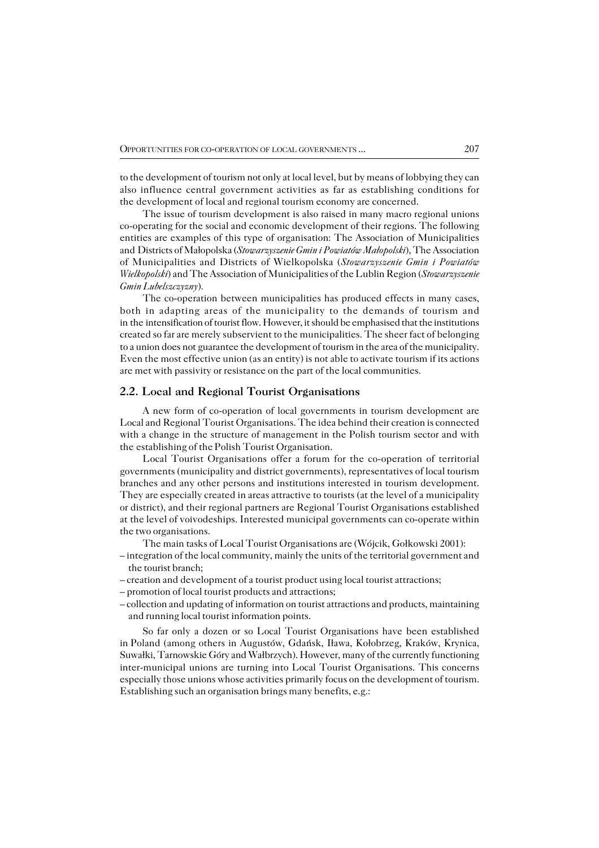to the development of tourism not only at local level, but by means of lobbying they can also influence central government activities as far as establishing conditions for the development of local and regional tourism economy are concerned.

The issue of tourism development is also raised in many macro regional unions co−operating for the social and economic development of their regions. The following entities are examples of this type of organisation: The Association of Municipalities and Districts of Małopolska (*Stowarzyszenie Gmin i Powiatów Małopolski*), The Association of Municipalities and Districts of Wielkopolska (*Stowarzyszenie Gmin i Powiatów Wielkopolski*) and The Association of Municipalities of the Lublin Region (*Stowarzyszenie Gmin Lubelszczyzny*).

The co-operation between municipalities has produced effects in many cases, both in adapting areas of the municipality to the demands of tourism and in the intensification of tourist flow. However, it should be emphasised that the institutions created so far are merely subservient to the municipalities. The sheer fact of belonging to a union does not guarantee the development of tourism in the area of the municipality. Even the most effective union (as an entity) is not able to activate tourism if its actions are met with passivity or resistance on the part of the local communities.

### **2.2. Local and Regional Tourist Organisations**

A new form of co−operation of local governments in tourism development are Local and Regional Tourist Organisations. The idea behind their creation is connected with a change in the structure of management in the Polish tourism sector and with the establishing of the Polish Tourist Organisation.

Local Tourist Organisations offer a forum for the co−operation of territorial governments (municipality and district governments), representatives of local tourism branches and any other persons and institutions interested in tourism development. They are especially created in areas attractive to tourists (at the level of a municipality or district), and their regional partners are Regional Tourist Organisations established atthe level of voivodeships. Interested municipal governments can co−operate within the two organisations.

The main tasks of Local Tourist Organisations are (Wójcik, Gołkowski 2001):

- integration of the local community, mainly the units of the territorial government and the tourist branch;
- creation and development of a tourist product using local tourist attractions;
- promotion of local tourist products and attractions;
- collection and updating of information on tourist attractions and products, maintaining and running local tourist information points.

So far only a dozen or so Local Tourist Organisations have been established inPoland (among others in Augustów, Gdańsk, Iława, Kołobrzeg, Kraków, Krynica, Suwałki, Tarnowskie Góry and Wałbrzych). However, many of the currently functioning inter−municipal unions are turning into Local Tourist Organisations. This concerns especially those unions whose activities primarily focus on the development of tourism. Establishing such an organisation brings many benefits, e.g.: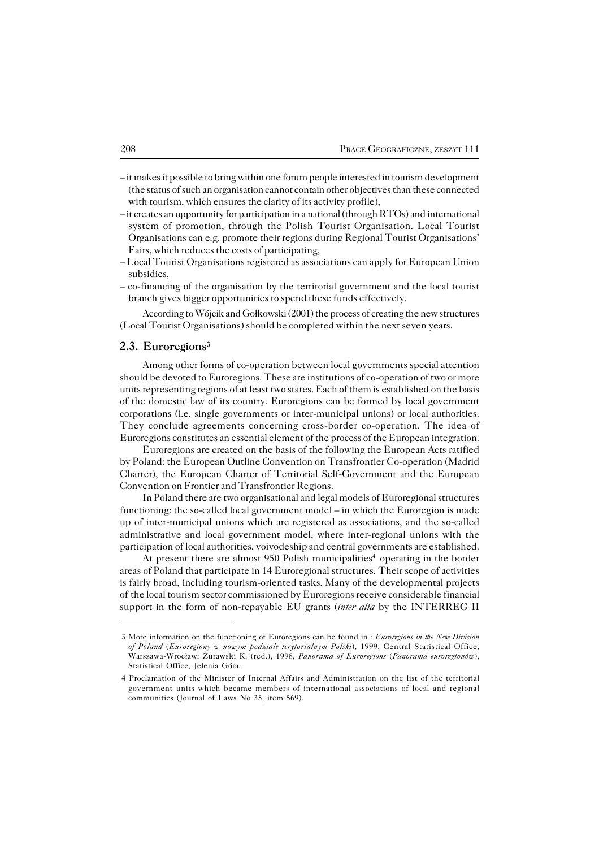- it makes it possible to bring within one forum people interested in tourism development (the status of such an organisation cannot contain other objectives than these connected with tourism, which ensures the clarity of its activity profile),
- it creates an opportunity for participation in a national (through RTOs) and international system of promotion, through the Polish Tourist Organisation. Local Tourist Organisations can e.g. promote their regions during Regional Tourist Organisations' Fairs, which reduces the costs of participating,
- Local Tourist Organisations registered as associations can apply for European Union subsidies,
- co−financing of the organisation by the territorial government and the local tourist branch gives bigger opportunities to spend these funds effectively.

According to Wójcik and Gołkowski (2001) the process of creating the new structures (Local Tourist Organisations) should be completed within the next seven years.

### **2.3. Euroregions<sup>3</sup>**

Among other forms of co−operation between local governments special attention should be devoted to Euroregions. These are institutions of co−operation of two or more units representing regions of at least two states. Each of them is established on the basis of the domestic law of its country. Euroregions can be formed by local government corporations (i.e. single governments or inter−municipal unions) or local authorities. They conclude agreements concerning cross−border co−operation. The idea of Euroregions constitutes an essential element of the process of the European integration.

Euroregions are created on the basis of the following the European Acts ratified by Poland: the European Outline Convention on Transfrontier Co−operation (Madrid Charter), the European Charter of Territorial Self−Government and the European Convention on Frontier and Transfrontier Regions.

In Poland there are two organisational and legal models of Euroregional structures functioning: the so−called local government model – in which the Euroregion is made up of inter−municipal unions which are registered as associations, and the so−called administrative and local government model, where inter−regional unions with the participation of local authorities, voivodeship and central governments are established.

At present there are almost 950 Polish municipalities<sup>4</sup> operating in the border areas of Poland that participate in 14 Euroregional structures. Their scope of activities isfairly broad, including tourism−oriented tasks. Many of the developmental projects ofthe local tourism sector commissioned by Euroregions receive considerable financial support in the form of non−repayable EU grants (*inter alia* by the INTERREG II

<sup>3</sup> More information on the functioning of Euroregions can be found in : *Euroregions in the New Division of Poland* (*Euroregiony w nowym podziale terytorialnym Polski*), 1999, Central Statistical Office, Warszawa−Wrocław; Żurawski K. (red.), 1998, *Panorama of Euroregions* (*Panorama euroregionów*), Statistical Office, Jelenia Góra.

<sup>4</sup> Proclamation of the Minister of Internal Affairs and Administration on the list of the territorial government units which became members of international associations of local and regional communities (Journal of Laws No 35, item 569).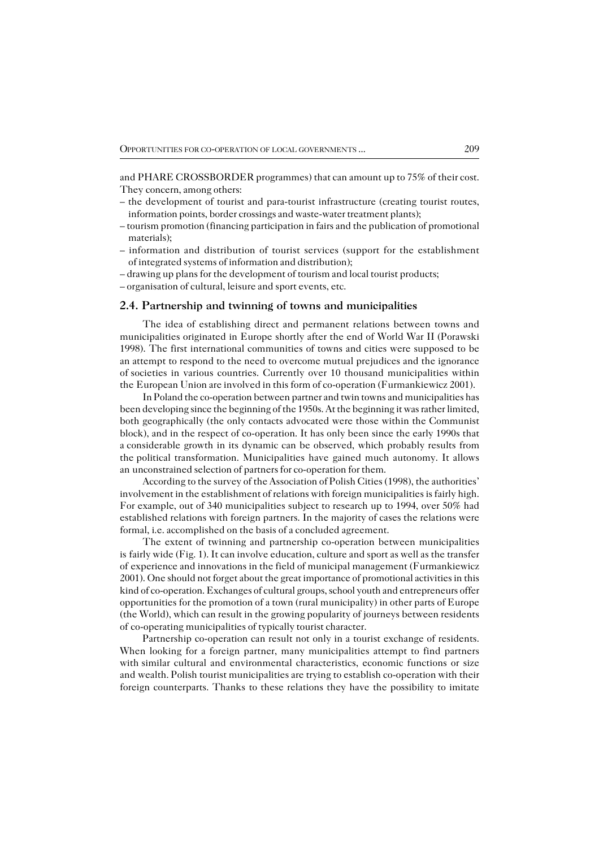andPHARE CROSSBORDER programmes) that can amount up to 75% of their cost. They concern, among others:

- the development of tourist and para−tourist infrastructure (creating tourist routes, information points, border crossings and waste−water treatment plants);
- tourism promotion (financing participation in fairs and the publication of promotional materials);
- information and distribution of tourist services (support for the establishment of integrated systems of information and distribution);
- drawing up plans for the development of tourism and local tourist products;
- organisation of cultural, leisure and sport events, etc.

#### **2.4. Partnership and twinning of towns and municipalities**

The idea of establishing direct and permanent relations between towns and municipalities originated in Europe shortly after the end of World War II (Porawski 1998). The first international communities of towns and cities were supposed to be anattempt to respond to the need to overcome mutual prejudices and the ignorance ofsocieties in various countries. Currently over 10 thousand municipalities within theEuropean Union are involved in this form of co−operation (Furmankiewicz 2001).

In Poland the co−operation between partner and twin towns and municipalities has been developing since the beginning of the 1950s. At the beginning it was rather limited, both geographically (the only contacts advocated were those within the Communist block), and in the respect of co−operation. It has only been since the early 1990s that aconsiderable growth in its dynamic can be observed, which probably results from the political transformation. Municipalities have gained much autonomy. It allows anunconstrained selection of partners for co−operation for them.

According to the survey of the Association of Polish Cities (1998), the authorities' involvement in the establishment of relations with foreign municipalities is fairly high. For example, out of 340 municipalities subject to research up to 1994, over 50% had established relations with foreign partners. In the majority of cases the relations were formal, i.e. accomplished on the basis of a concluded agreement.

The extent of twinning and partnership co−operation between municipalities isfairly wide (Fig. 1). It can involve education, culture and sport as well as the transfer of experience and innovations in the field of municipal management (Furmankiewicz 2001). One should not forget about the great importance of promotional activities in this kind of co−operation. Exchanges of cultural groups, school youth and entrepreneurs offer opportunities for the promotion of a town (rural municipality) in other parts of Europe (the World), which can result in the growing popularity of journeys between residents of co-operating municipalities of typically tourist character.

Partnership co−operation can result not only in a tourist exchange of residents. When looking for a foreign partner, many municipalities attempt to find partners with similar cultural and environmental characteristics, economic functions or size and wealth. Polish tourist municipalities are trying to establish co-operation with their foreign counterparts. Thanks to these relations they have the possibility to imitate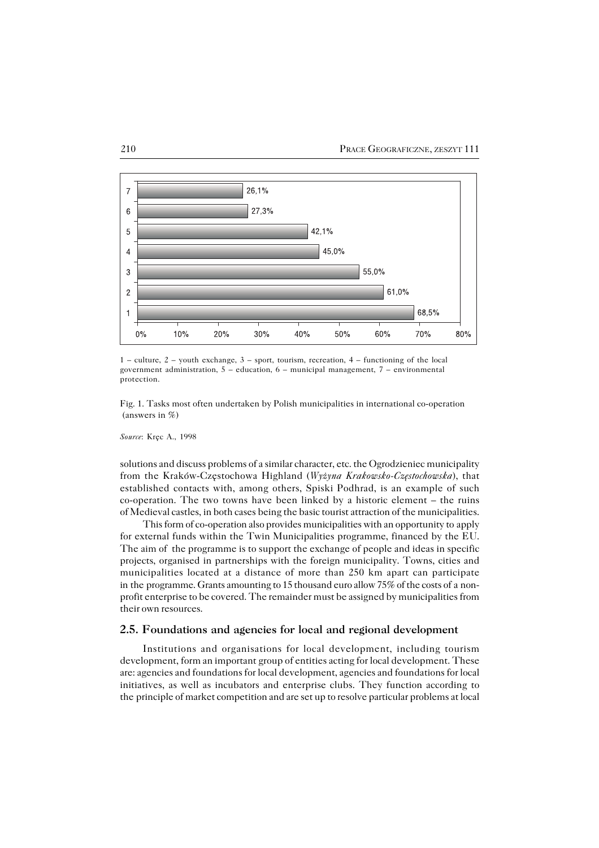

1 – culture, 2 – youth exchange, 3 – sport, tourism, recreation, 4 – functioning of the local government administration,  $5 -$  education,  $6 -$  municipal management,  $7 -$  environmental protection.

Fig. 1. Tasks most often undertaken by Polish municipalities in international co−operation (answers in %)

*Source*: Kręc A., 1998

solutions and discuss problems of a similar character, etc. the Ogrodzieniec municipality from the Kraków−Częstochowa Highland (*Wyżyna Krakowsko−Częstochowska*), that established contacts with, among others, Spiski Podhrad, is an example of such co−operation. The two towns have been linked by a historic element – the ruins of Medieval castles, in both cases being the basic tourist attraction of the municipalities.

This form of co-operation also provides municipalities with an opportunity to apply for external funds within the Twin Municipalities programme, financed by the EU. The aim of the programme is to support the exchange of people and ideas in specific projects, organised in partnerships with the foreign municipality. Towns, cities and municipalities located at a distance of more than 250 km apart can participate in the programme. Grants amounting to 15 thousand euro allow 75% of the costs of a nonprofit enterprise to be covered. The remainder must be assigned by municipalities from their own resources.

## **2.5. Foundations and agencies for local and regional development**

Institutions and organisations for local development, including tourism development, form an important group of entities acting for local development. These are: agencies and foundations for local development, agencies and foundations for local initiatives, as well as incubators and enterprise clubs. They function according to the principle of market competition and are set up to resolve particular problems at local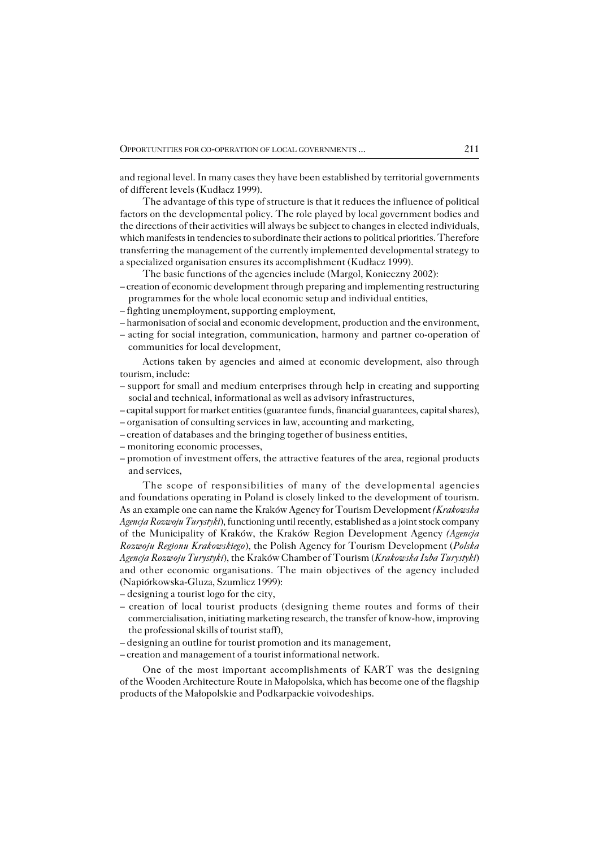and regional level. In many cases they have been established by territorial governments of different levels (Kudłacz 1999).

The advantage of this type of structure is that it reduces the influence of political factors on the developmental policy. The role played by local government bodies and the directions of their activities will always be subject to changes in elected individuals, which manifests in tendencies to subordinate their actions to political priorities. Therefore transferring the management of the currently implemented developmental strategy to a specialized organisation ensures its accomplishment (Kudłacz 1999).

- The basic functions of the agencies include (Margol, Konieczny 2002):
- creation of economic development through preparing and implementing restructuring programmes for the whole local economic setup and individual entities,
- fighting unemployment, supporting employment,
- harmonisation of social and economic development, production and the environment,
- acting for social integration, communication, harmony and partner co−operation of communities for local development,

Actions taken by agencies and aimed at economic development, also through tourism, include:

- support for small and medium enterprises through help in creating and supporting social and technical, informational as well as advisory infrastructures,
- capital support for market entities (guarantee funds, financial guarantees, capital shares),
- organisation of consulting services in law, accounting and marketing,
- creation of databases and the bringing together of business entities,
- monitoring economic processes,
- promotion of investment offers, the attractive features of the area, regional products and services,

The scope of responsibilities of many of the developmental agencies and foundations operating in Poland is closely linked to the development of tourism. Asan example one can name the Kraków Agency for Tourism Development *(Krakowska Agencja Rozwoju Turystyki*), functioning until recently, established as a joint stock company of the Municipality of Kraków, the Kraków Region Development Agency *(Agencja Rozwoju Regionu Krakowskiego*), the Polish Agency for Tourism Development (*Polska Agencja Rozwoju Turystyki*), the Kraków Chamber of Tourism (*Krakowska Izba Turystyki*) and other economic organisations. The main objectives of the agency included (Napiórkowska−Gluza, Szumlicz 1999):

- designing a tourist logo for the city,
- creation of local tourist products (designing theme routes and forms of their commercialisation, initiating marketing research, the transfer of know−how, improving the professional skills of tourist staff),
- designing an outline for tourist promotion and its management,
- creation and management of a tourist informational network.

One of the most important accomplishments of KART was the designing of theWooden Architecture Route in Małopolska, which has become one of the flagship products of the Małopolskie and Podkarpackie voivodeships.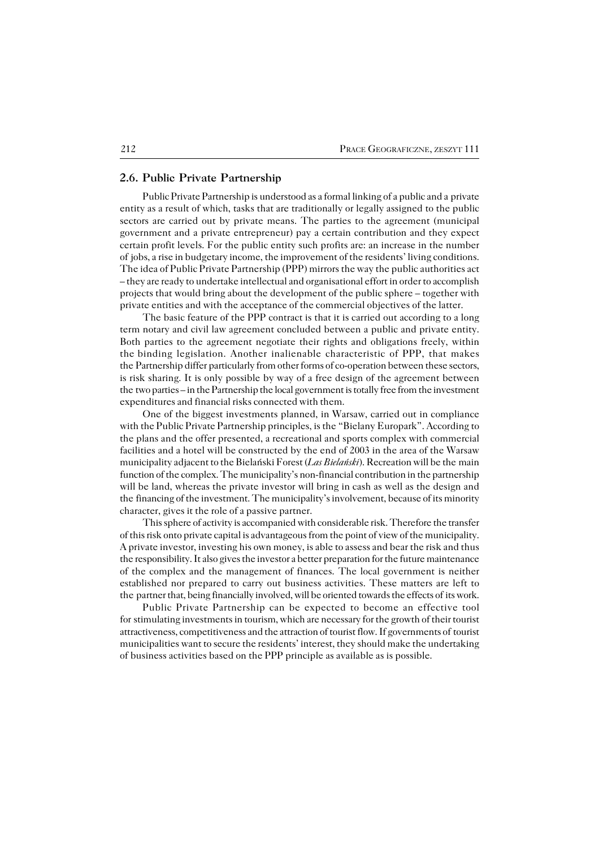#### **2.6. Public Private Partnership**

Public Private Partnership is understood as a formal linking of a public and a private entity as a result of which, tasks that are traditionally or legally assigned to the public sectors are carried out by private means. The parties to the agreement (municipal government and a private entrepreneur) pay a certain contribution and they expect certain profit levels. For the public entity such profits are: an increase in the number ofjobs, a rise in budgetary income, the improvement of the residents' living conditions. The idea of Public Private Partnership (PPP) mirrors the way the public authorities act – they are ready to undertake intellectual and organisational effort in order to accomplish projects that would bring about the development of the public sphere – together with private entities and with the acceptance of the commercial objectives of the latter.

The basic feature of the PPP contract is that it is carried out according to a long term notary and civil law agreement concluded between a public and private entity. Both parties to the agreement negotiate their rights and obligations freely, within the binding legislation. Another inalienable characteristic of PPP, that makes the Partnership differ particularly from other forms of co-operation between these sectors, is risk sharing. It is only possible by way of a free design of the agreement between the two parties – in the Partnership the local government is totally free from the investment expenditures and financial risks connected with them.

One of the biggest investments planned, in Warsaw, carried out in compliance with the Public Private Partnership principles, is the "Bielany Europark". According to the plans and the offer presented, a recreational and sports complex with commercial facilities and a hotel will be constructed by the end of 2003 in the area of the Warsaw municipality adjacent to the Bielański Forest (*Las Bielański*). Recreation will be themain function of the complex. The municipality's non−financial contribution in the partnership will be land, whereas the private investor will bring in cash as well as the design and the financing of the investment. The municipality's involvement, because of its minority character, gives it the role of a passive partner.

This sphere of activity is accompanied with considerable risk. Therefore the transfer of this risk onto private capital is advantageous from the point of view of the municipality. A private investor, investing his own money, is able to assess and bear the risk and thus the responsibility. It also gives the investor a better preparation for the future maintenance of the complex and the management of finances. The local government is neither established nor prepared to carry out business activities. These matters are left to the partner that, being financially involved, will be oriented towards the effects of its work.

Public Private Partnership can be expected to become an effective tool for stimulating investments in tourism, which are necessary for the growth of their tourist attractiveness, competitiveness and the attraction of tourist flow. If governments oftourist municipalities want to secure the residents' interest, they should make the undertaking of business activities based on the PPP principle as available as is possible.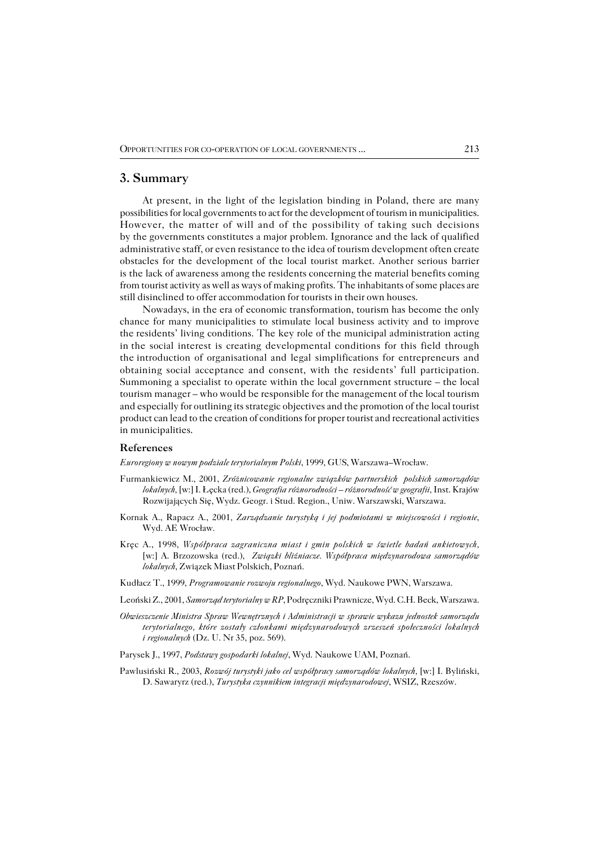#### **3. Summary**

At present, in the light of the legislation binding in Poland, there are many possibilities for local governments to act for the development of tourism in municipalities. However, the matter of will and of the possibility of taking such decisions bythegovernments constitutes a major problem. Ignorance and the lack of qualified administrative staff, or even resistance to the idea of tourism development often create obstacles for the development of the local tourist market. Another serious barrier is the lack of awareness among the residents concerning the material benefits coming from tourist activity as well as ways of making profits. The inhabitants of some places are still disinclined to offer accommodation for tourists in their own houses.

Nowadays, in the era of economic transformation, tourism has become the only chance for many municipalities to stimulate local business activity and to improve the residents' living conditions. The key role of the municipal administration acting inthe social interest is creating developmental conditions for this field through the introduction of organisational and legal simplifications for entrepreneurs and obtaining social acceptance and consent, with the residents' full participation. Summoning a specialist to operate within the local government structure – the local tourism manager – who would be responsible for the management of the local tourism and especially for outlining its strategic objectives and the promotion of the local tourist product can lead to the creation of conditions for proper tourist and recreational activities in municipalities.

#### **References**

*Euroregiony w nowym podziale terytorialnym Polski*, 1999, GUS, Warszawa–Wrocław.

- Furmankiewicz M., 2001, *Zróżnicowanie regionalne związków partnerskich polskich samorządów lokalnych,* [w:] I. Łęcka (red.), *Geografia różnorodności – różnorodność w geografii,* Inst. Krajów Rozwijających Się, Wydz. Geogr. i Stud. Region., Uniw. Warszawski, Warszawa.
- Kornak A., Rapacz A., 2001*, Zarządzanie turystyką i jej podmiotami w miejscowości i regionie*, Wyd. AE Wrocław.
- Kręc A., 1998, *Współpraca zagraniczna miast i gmin polskich w świetle badań ankietowych,* [w:] A. Brzozowska (red.), *Związki bliźniacze. Współpraca międzynarodowa samorządów lokalnych*, Związek Miast Polskich, Poznań.
- Kudłacz T., 1999, *Programowanie rozwoju regionalnego*, Wyd. Naukowe PWN, Warszawa.
- Leoński Z., 2001, *Samorząd terytorialny w RP*, Podręczniki Prawnicze, Wyd. C.H. Beck, Warszawa.
- *Obwieszczenie Ministra Spraw Wewnętrznych i Administracji w sprawie wykazu jednostek samorządu terytorialnego, które zostały członkami międzynarodowych zrzeszeń społeczności lokalnych i regionalnych* (Dz. U. Nr 35, poz. 569).
- Parysek J., 1997, *Podstawy gospodarki lokalnej*, Wyd. Naukowe UAM, Poznań.
- Pawlusiński R., 2003, *Rozwój turystyki jako cel współpracy samorządów lokalnych,* [w:] I. Byliński, D. Sawaryrz (red.), *Turystyka czynnikiem integracji międzynarodowej*, WSIZ, Rzeszów.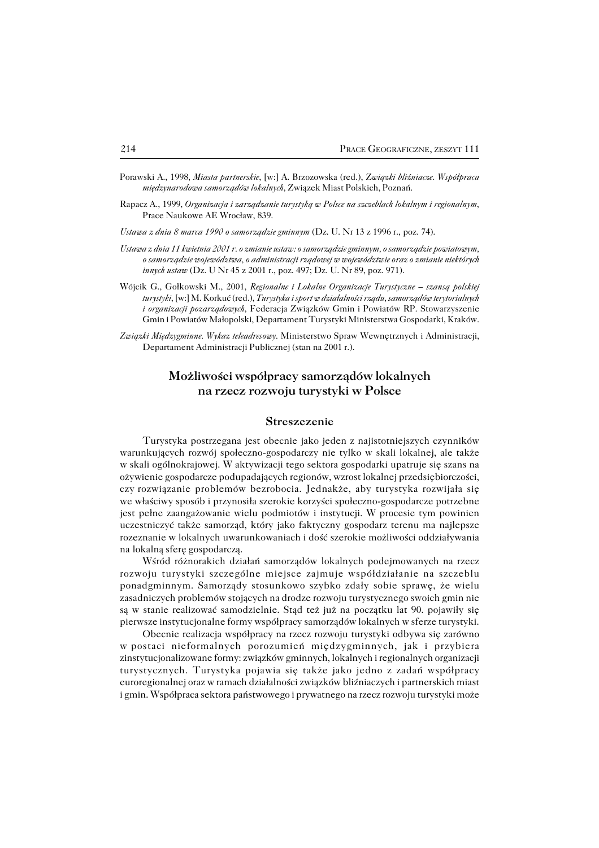- Porawski A., 1998, *Miasta partnerskie*, [w:] A. Brzozowska (red.), Z*wiązki bliźniacze. Współpraca międzynarodowa samorządów lokalnych*, Związek Miast Polskich, Poznań.
- Rapacz A., 1999, *Organizacja i zarządzanie turystyką w Polsce na szczeblach lokalnym i regionalnym*, Prace Naukowe AE Wrocław, 839.

*Ustawa z dnia 8 marca 1990 o samorządzie gminnym* (Dz. U. Nr 13 z 1996 r., poz. 74).

- *Ustawa z dnia 11 kwietnia 2001 r. o zmianie ustaw: o samorządzie gminnym, o samorządzie powiatowym, o samorządzie województwa, o administracji rządowej w województwie oraz o zmianie niektórych innych ustaw* (Dz. U Nr 45 z 2001 r., poz. 497; Dz. U. Nr 89, poz. 971).
- Wójcik G., Gołkowski M., 2001, *Regionalne i Lokalne Organizacje Turystyczne szansą polskiej turystyki*, [w:] M. Korkuć (red.), *Turystyka i sport w działalności rządu, samorządów terytorialnych i organizacji pozarządowych*, Federacja Związków Gmin i Powiatów RP. Stowarzyszenie Gmin i Powiatów Małopolski, Departament Turystyki Ministerstwa Gospodarki, Kraków.
- *Związki Międzygminne. Wykaz teleadresowy.* Ministerstwo Spraw Wewnętrznych i Administracji, Departament Administracji Publicznej (stan na 2001 r.).

## **Możliwości współpracy samorządów lokalnych na rzecz rozwoju turystyki w Polsce**

#### **Streszczenie**

Turystyka postrzegana jest obecnie jako jeden z najistotniejszych czynników warunkujących rozwój społeczno−gospodarczy nie tylko w skali lokalnej, ale także wskali ogólnokrajowej. W aktywizacji tego sektora gospodarki upatruje się szans na ożywienie gospodarcze podupadających regionów, wzrost lokalnej przedsiębiorczości, czyrozwiązanie problemów bezrobocia. Jednakże, aby turystyka rozwijała się wewłaściwy sposób i przynosiła szerokie korzyści społeczno−gospodarcze potrzebne jest pełne zaangażowanie wielu podmiotów i instytucji. W procesie tym powinien uczestniczyć także samorząd, który jako faktyczny gospodarz terenu ma najlepsze rozeznanie w lokalnych uwarunkowaniach i dość szerokie możliwości oddziaływania nalokalną sferę gospodarczą.

Wśród różnorakich działań samorządów lokalnych podejmowanych na rzecz rozwoju turystyki szczególne miejsce zajmuje współdziałanie na szczeblu ponadgminnym. Samorządy stosunkowo szybko zdały sobie sprawę, że wielu zasadniczych problemów stojących na drodze rozwoju turystycznego swoich gmin nie są w stanie realizować samodzielnie. Stąd też już na początku lat 90. pojawiły się pierwsze instytucjonalne formy współpracy samorządów lokalnych w sferze turystyki.

Obecnie realizacja współpracy na rzecz rozwoju turystyki odbywa się zarówno wpostaci nieformalnych porozumień międzygminnych, jak i przybiera zinstytucjonalizowane formy: związków gminnych, lokalnych i regionalnych organizacji turystycznych. Turystyka pojawia się także jako jedno z zadań współpracy euroregionalnej oraz w ramach działalności związków bliźniaczych i partnerskich miast i gmin. Współpraca sektora państwowego i prywatnego na rzecz rozwoju turystyki może